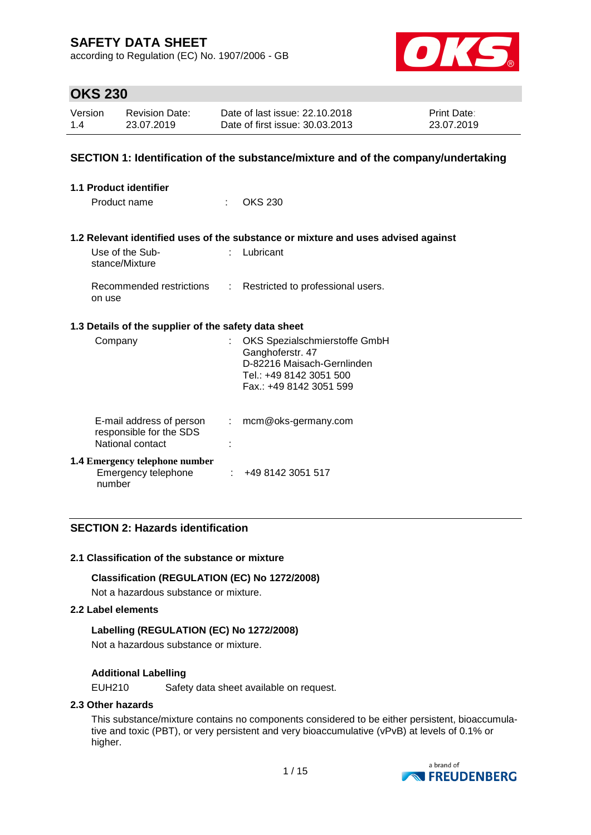according to Regulation (EC) No. 1907/2006 - GB



## **OKS 230**

| Version | <b>Revision Date:</b> | Date of last issue: 22.10.2018  | <b>Print Date:</b> |
|---------|-----------------------|---------------------------------|--------------------|
| 1.4     | 23.07.2019            | Date of first issue: 30.03.2013 | 23.07.2019         |

## **SECTION 1: Identification of the substance/mixture and of the company/undertaking**

| 1.1 Product identifier |                                                                         |    |                                                                                                                                      |  |  |
|------------------------|-------------------------------------------------------------------------|----|--------------------------------------------------------------------------------------------------------------------------------------|--|--|
|                        | Product name                                                            | t. | <b>OKS 230</b>                                                                                                                       |  |  |
|                        |                                                                         |    | 1.2 Relevant identified uses of the substance or mixture and uses advised against                                                    |  |  |
|                        | Use of the Sub-<br>stance/Mixture                                       | t. | Lubricant                                                                                                                            |  |  |
|                        | on use                                                                  |    | Recommended restrictions : Restricted to professional users.                                                                         |  |  |
|                        | 1.3 Details of the supplier of the safety data sheet                    |    |                                                                                                                                      |  |  |
|                        | Company                                                                 | t. | OKS Spezialschmierstoffe GmbH<br>Ganghoferstr. 47<br>D-82216 Maisach-Gernlinden<br>Tel.: +49 8142 3051 500<br>Fax: +49 8142 3051 599 |  |  |
|                        | E-mail address of person<br>responsible for the SDS<br>National contact |    | $:$ mcm@oks-germany.com                                                                                                              |  |  |
|                        | <b>1.4 Emergency telephone number</b><br>Emergency telephone<br>number  | ÷. | +49 8142 3051 517                                                                                                                    |  |  |

## **SECTION 2: Hazards identification**

### **2.1 Classification of the substance or mixture**

### **Classification (REGULATION (EC) No 1272/2008)**

Not a hazardous substance or mixture.

#### **2.2 Label elements**

### **Labelling (REGULATION (EC) No 1272/2008)**

Not a hazardous substance or mixture.

## **Additional Labelling**

EUH210 Safety data sheet available on request.

### **2.3 Other hazards**

This substance/mixture contains no components considered to be either persistent, bioaccumulative and toxic (PBT), or very persistent and very bioaccumulative (vPvB) at levels of 0.1% or higher.

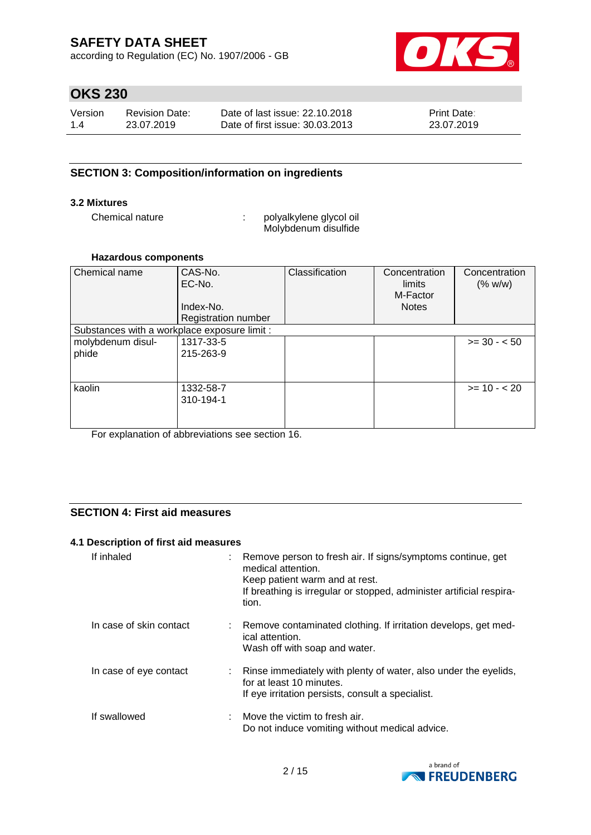according to Regulation (EC) No. 1907/2006 - GB



# **OKS 230**

| Version | Revision Date: | Date of last issue: 22.10.2018  | <b>Print Date:</b> |
|---------|----------------|---------------------------------|--------------------|
| 1.4     | 23.07.2019     | Date of first issue: 30.03.2013 | 23.07.2019         |

## **SECTION 3: Composition/information on ingredients**

### **3.2 Mixtures**

Chemical nature  $\qquad \qquad : \qquad$  polyalkylene glycol oil Molybdenum disulfide

### **Hazardous components**

| Chemical name                                | CAS-No.<br>EC-No.          | Classification | Concentration<br>limits  | Concentration<br>(% w/w) |
|----------------------------------------------|----------------------------|----------------|--------------------------|--------------------------|
|                                              | Index-No.                  |                | M-Factor<br><b>Notes</b> |                          |
|                                              | <b>Registration number</b> |                |                          |                          |
| Substances with a workplace exposure limit : |                            |                |                          |                          |
| molybdenum disul-                            | 1317-33-5                  |                |                          | $>= 30 - 50$             |
| phide                                        | 215-263-9                  |                |                          |                          |
|                                              |                            |                |                          |                          |
| kaolin                                       | 1332-58-7                  |                |                          | $>= 10 - 20$             |
|                                              | 310-194-1                  |                |                          |                          |
|                                              |                            |                |                          |                          |
|                                              |                            |                |                          |                          |

For explanation of abbreviations see section 16.

## **SECTION 4: First aid measures**

## **4.1 Description of first aid measures**

| If inhaled              | t. | Remove person to fresh air. If signs/symptoms continue, get<br>medical attention.<br>Keep patient warm and at rest.<br>If breathing is irregular or stopped, administer artificial respira-<br>tion. |
|-------------------------|----|------------------------------------------------------------------------------------------------------------------------------------------------------------------------------------------------------|
| In case of skin contact |    | Remove contaminated clothing. If irritation develops, get med-<br>ical attention.<br>Wash off with soap and water.                                                                                   |
| In case of eye contact  |    | : Rinse immediately with plenty of water, also under the eyelids,<br>for at least 10 minutes.<br>If eye irritation persists, consult a specialist.                                                   |
| If swallowed            |    | $\therefore$ Move the victim to fresh air.<br>Do not induce vomiting without medical advice.                                                                                                         |

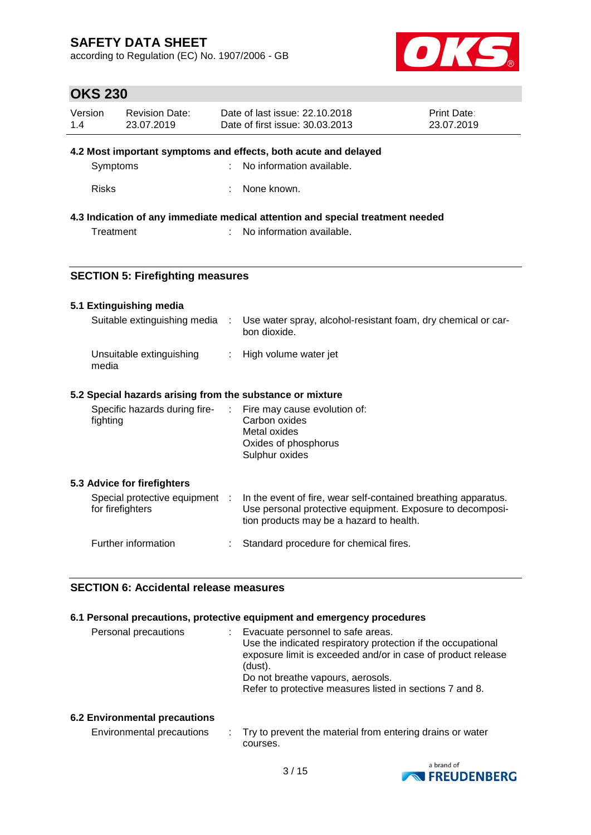according to Regulation (EC) No. 1907/2006 - GB



# **OKS 230**

| Version<br>1.4                          | <b>Revision Date:</b><br>23.07.2019     |                       | Date of last issue: 22.10.2018<br>Date of first issue: 30.03.2013                                     | <b>Print Date:</b><br>23.07.2019 |
|-----------------------------------------|-----------------------------------------|-----------------------|-------------------------------------------------------------------------------------------------------|----------------------------------|
|                                         |                                         |                       | 4.2 Most important symptoms and effects, both acute and delayed                                       |                                  |
|                                         | Symptoms                                |                       | No information available.                                                                             |                                  |
|                                         |                                         |                       |                                                                                                       |                                  |
| <b>Risks</b>                            |                                         |                       | None known.                                                                                           |                                  |
|                                         |                                         |                       | 4.3 Indication of any immediate medical attention and special treatment needed                        |                                  |
| Treatment                               |                                         |                       | No information available.                                                                             |                                  |
|                                         |                                         |                       |                                                                                                       |                                  |
|                                         | <b>SECTION 5: Firefighting measures</b> |                       |                                                                                                       |                                  |
|                                         |                                         |                       |                                                                                                       |                                  |
|                                         | 5.1 Extinguishing media                 |                       |                                                                                                       |                                  |
|                                         | Suitable extinguishing media            | $\sim 100$            | Use water spray, alcohol-resistant foam, dry chemical or car-<br>bon dioxide.                         |                                  |
| Unsuitable extinguishing<br>÷.<br>media |                                         | High volume water jet |                                                                                                       |                                  |
|                                         |                                         |                       | 5.2 Special hazards arising from the substance or mixture                                             |                                  |
|                                         | Specific hazards during fire-           | ÷.                    | Fire may cause evolution of:                                                                          |                                  |
| fighting                                |                                         |                       | Carbon oxides                                                                                         |                                  |
|                                         |                                         |                       | Metal oxides<br>Oxides of phosphorus                                                                  |                                  |
|                                         |                                         |                       | Sulphur oxides                                                                                        |                                  |
|                                         | 5.3 Advice for firefighters             |                       |                                                                                                       |                                  |
|                                         | Special protective equipment :          |                       | In the event of fire, wear self-contained breathing apparatus.                                        |                                  |
|                                         | for firefighters                        |                       | Use personal protective equipment. Exposure to decomposi-<br>tion products may be a hazard to health. |                                  |
|                                         | Further information                     |                       | Standard procedure for chemical fires.                                                                |                                  |

## **SECTION 6: Accidental release measures**

#### **6.1 Personal precautions, protective equipment and emergency procedures**

| Personal precautions | Evacuate personnel to safe areas.                            |
|----------------------|--------------------------------------------------------------|
|                      | Use the indicated respiratory protection if the occupational |
|                      | exposure limit is exceeded and/or in case of product release |
|                      | (dust).                                                      |
|                      | Do not breathe vapours, aerosols.                            |
|                      | Refer to protective measures listed in sections 7 and 8.     |
|                      |                                                              |

## **6.2 Environmental precautions**

| Environmental precautions | Try to prevent the material from entering drains or water |
|---------------------------|-----------------------------------------------------------|
|                           | courses.                                                  |

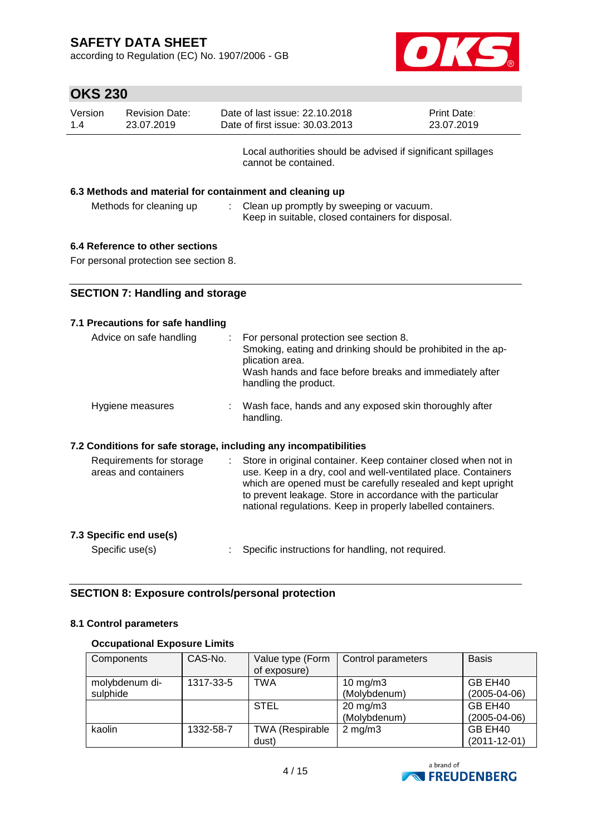according to Regulation (EC) No. 1907/2006 - GB



| Version<br>23.07.2019<br>1.4 | <b>Revision Date:</b> | Date of last issue: 22.10.2018<br>Date of first issue: 30.03.2013                    | <b>Print Date:</b><br>23.07.2019 |
|------------------------------|-----------------------|--------------------------------------------------------------------------------------|----------------------------------|
|                              |                       | Local authorities should be advised if significant spillages<br>cannot be contained. |                                  |

#### **6.3 Methods and material for containment and cleaning up**

| Methods for cleaning up | Clean up promptly by sweeping or vacuum.          |
|-------------------------|---------------------------------------------------|
|                         | Keep in suitable, closed containers for disposal. |

## **6.4 Reference to other sections**

For personal protection see section 8.

### **7.1 Precautions for safe handling**

| Advice on safe handling                                          | For personal protection see section 8.<br>Smoking, eating and drinking should be prohibited in the ap-<br>plication area.<br>Wash hands and face before breaks and immediately after<br>handling the product. |
|------------------------------------------------------------------|---------------------------------------------------------------------------------------------------------------------------------------------------------------------------------------------------------------|
| Hygiene measures                                                 | Wash face, hands and any exposed skin thoroughly after<br>handling.                                                                                                                                           |
| 7.2 Conditions for safe storage, including any incompatibilities |                                                                                                                                                                                                               |
| Requirements for storage<br>areas and containers                 | Store in original container. Keep container closed when not in<br>use. Keep in a dry, cool and well-ventilated place. Containers                                                                              |

| FINGINS IVI SIVIAYE | <u>Store in onginal container. Reep container closed when not in</u> |
|---------------------|----------------------------------------------------------------------|
| and containers      | use. Keep in a dry, cool and well-ventilated place. Containers       |
|                     | which are opened must be carefully resealed and kept upright         |
|                     | to prevent leakage. Store in accordance with the particular          |
|                     | national regulations. Keep in properly labelled containers.          |
|                     |                                                                      |

# **7.3 Specific end use(s)**

Specific use(s) : Specific instructions for handling, not required.

## **SECTION 8: Exposure controls/personal protection**

## **8.1 Control parameters**

## **Occupational Exposure Limits**

| Components     | CAS-No.   | Value type (Form       | Control parameters  | <b>Basis</b>       |
|----------------|-----------|------------------------|---------------------|--------------------|
|                |           | of exposure)           |                     |                    |
| molybdenum di- | 1317-33-5 | <b>TWA</b>             | 10 mg/m $3$         | GB EH40            |
| sulphide       |           |                        | (Molybdenum)        | $(2005 - 04 - 06)$ |
|                |           | <b>STEL</b>            | $20 \text{ mg/m}$ 3 | GB EH40            |
|                |           |                        | (Molybdenum)        | $(2005 - 04 - 06)$ |
| kaolin         | 1332-58-7 | <b>TWA (Respirable</b> | $2 \text{ mg/m}$ 3  | GB EH40            |
|                |           | dust)                  |                     | $(2011 - 12 - 01)$ |

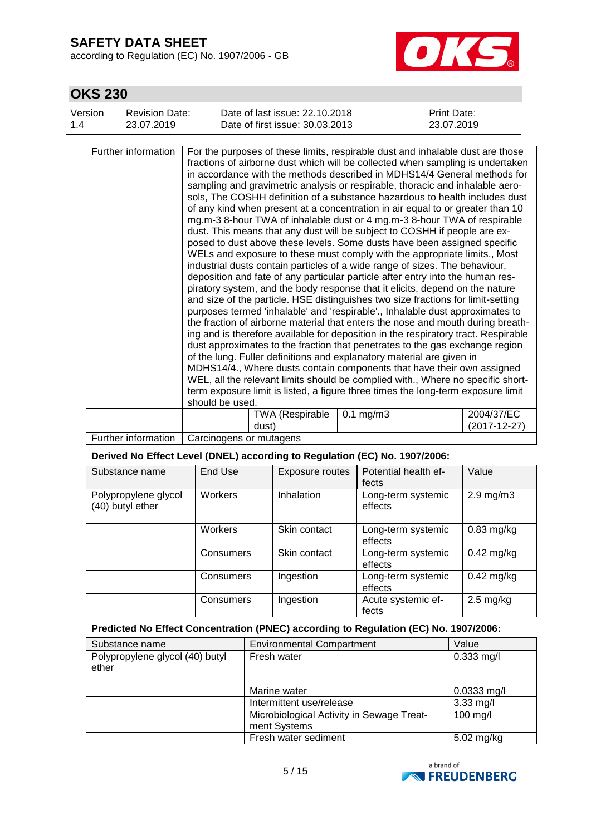according to Regulation (EC) No. 1907/2006 - GB



## **OKS 230**

| Version<br>1.4 | <b>Revision Date:</b><br>23.07.2019 |                 | Date of last issue: 22.10.2018<br>Date of first issue: 30.03.2013 |                                                                                                                                                                                                                                                                                                                                                                                                     | Print Date:<br>23.07.2019                                                                                                                                                                                                                                                                                                                                                                                                                                                                                                                                                                                                                                                                                                                                                                                                                                                                                                                                                                                                                                                                                                                                                                                                                                                                                                                                                                                          |
|----------------|-------------------------------------|-----------------|-------------------------------------------------------------------|-----------------------------------------------------------------------------------------------------------------------------------------------------------------------------------------------------------------------------------------------------------------------------------------------------------------------------------------------------------------------------------------------------|--------------------------------------------------------------------------------------------------------------------------------------------------------------------------------------------------------------------------------------------------------------------------------------------------------------------------------------------------------------------------------------------------------------------------------------------------------------------------------------------------------------------------------------------------------------------------------------------------------------------------------------------------------------------------------------------------------------------------------------------------------------------------------------------------------------------------------------------------------------------------------------------------------------------------------------------------------------------------------------------------------------------------------------------------------------------------------------------------------------------------------------------------------------------------------------------------------------------------------------------------------------------------------------------------------------------------------------------------------------------------------------------------------------------|
|                | Further information                 | should be used. |                                                                   | dust. This means that any dust will be subject to COSHH if people are ex-<br>industrial dusts contain particles of a wide range of sizes. The behaviour,<br>deposition and fate of any particular particle after entry into the human res-<br>piratory system, and the body response that it elicits, depend on the nature<br>of the lung. Fuller definitions and explanatory material are given in | For the purposes of these limits, respirable dust and inhalable dust are those<br>fractions of airborne dust which will be collected when sampling is undertaken<br>in accordance with the methods described in MDHS14/4 General methods for<br>sampling and gravimetric analysis or respirable, thoracic and inhalable aero-<br>sols, The COSHH definition of a substance hazardous to health includes dust<br>of any kind when present at a concentration in air equal to or greater than 10<br>mg.m-3 8-hour TWA of inhalable dust or 4 mg.m-3 8-hour TWA of respirable<br>posed to dust above these levels. Some dusts have been assigned specific<br>WELs and exposure to these must comply with the appropriate limits., Most<br>and size of the particle. HSE distinguishes two size fractions for limit-setting<br>purposes termed 'inhalable' and 'respirable'., Inhalable dust approximates to<br>the fraction of airborne material that enters the nose and mouth during breath-<br>ing and is therefore available for deposition in the respiratory tract. Respirable<br>dust approximates to the fraction that penetrates to the gas exchange region<br>MDHS14/4., Where dusts contain components that have their own assigned<br>WEL, all the relevant limits should be complied with., Where no specific short-<br>term exposure limit is listed, a figure three times the long-term exposure limit |
|                |                                     |                 | <b>TWA (Respirable</b><br>dust)                                   | $0.1$ mg/m $3$                                                                                                                                                                                                                                                                                                                                                                                      | 2004/37/EC<br>(2017-12-27)                                                                                                                                                                                                                                                                                                                                                                                                                                                                                                                                                                                                                                                                                                                                                                                                                                                                                                                                                                                                                                                                                                                                                                                                                                                                                                                                                                                         |

Further information | Carcinogens or mutagens

### **Derived No Effect Level (DNEL) according to Regulation (EC) No. 1907/2006:**

| Substance name                           | End Use   | Exposure routes | Potential health ef-<br>fects | Value               |
|------------------------------------------|-----------|-----------------|-------------------------------|---------------------|
| Polypropylene glycol<br>(40) butyl ether | Workers   | Inhalation      | Long-term systemic<br>effects | $2.9$ mg/m $3$      |
|                                          | Workers   | Skin contact    | Long-term systemic<br>effects | $0.83$ mg/kg        |
|                                          | Consumers | Skin contact    | Long-term systemic<br>effects | $0.42$ mg/kg        |
|                                          | Consumers | Ingestion       | Long-term systemic<br>effects | $0.42$ mg/kg        |
|                                          | Consumers | Ingestion       | Acute systemic ef-<br>fects   | $2.5 \text{ mg/kg}$ |

## **Predicted No Effect Concentration (PNEC) according to Regulation (EC) No. 1907/2006:**

| Substance name                           | <b>Environmental Compartment</b><br>Value                 |                      |  |  |
|------------------------------------------|-----------------------------------------------------------|----------------------|--|--|
| Polypropylene glycol (40) butyl<br>ether | Fresh water                                               | $0.333$ mg/l         |  |  |
|                                          | Marine water                                              | $0.0333$ mg/l        |  |  |
|                                          | Intermittent use/release                                  | $3.33$ mg/l          |  |  |
|                                          | Microbiological Activity in Sewage Treat-<br>ment Systems | $100$ mg/l           |  |  |
|                                          | Fresh water sediment                                      | $5.02 \text{ mg/kg}$ |  |  |

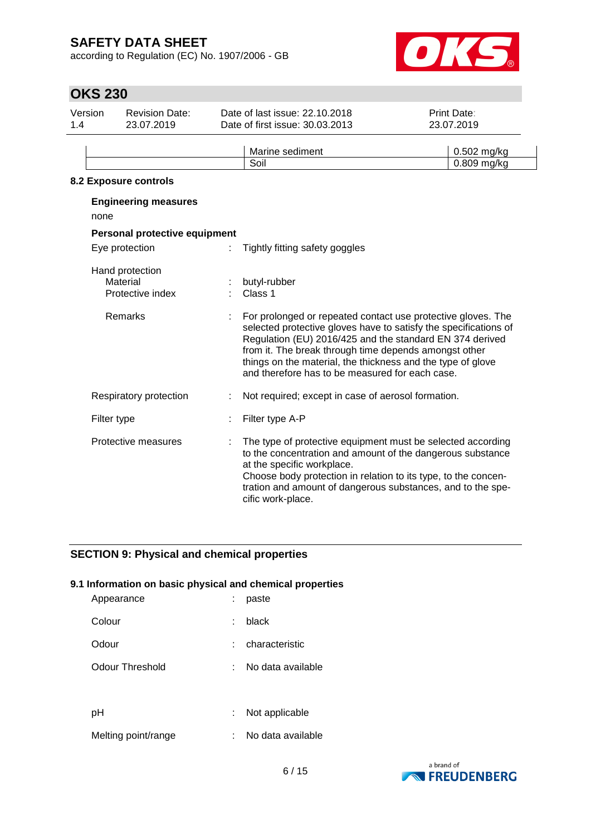according to Regulation (EC) No. 1907/2006 - GB



## **OKS 230**

| Version<br>1.4 |                | <b>Revision Date:</b><br>23.07.2019             | Date of last issue: 22.10.2018<br>Date of first issue: 30.03.2013                                                                                                                                                                                                                                                                                                       | Print Date:<br>23.07.2019  |
|----------------|----------------|-------------------------------------------------|-------------------------------------------------------------------------------------------------------------------------------------------------------------------------------------------------------------------------------------------------------------------------------------------------------------------------------------------------------------------------|----------------------------|
|                |                |                                                 | Marine sediment<br>Soil                                                                                                                                                                                                                                                                                                                                                 | 0.502 mg/kg<br>0.809 mg/kg |
|                |                | 8.2 Exposure controls                           |                                                                                                                                                                                                                                                                                                                                                                         |                            |
|                | none           | <b>Engineering measures</b>                     |                                                                                                                                                                                                                                                                                                                                                                         |                            |
|                |                | Personal protective equipment                   |                                                                                                                                                                                                                                                                                                                                                                         |                            |
|                | Eye protection |                                                 | Tightly fitting safety goggles                                                                                                                                                                                                                                                                                                                                          |                            |
|                |                | Hand protection<br>Material<br>Protective index | butyl-rubber<br>Class 1                                                                                                                                                                                                                                                                                                                                                 |                            |
|                |                | <b>Remarks</b>                                  | For prolonged or repeated contact use protective gloves. The<br>selected protective gloves have to satisfy the specifications of<br>Regulation (EU) 2016/425 and the standard EN 374 derived<br>from it. The break through time depends amongst other<br>things on the material, the thickness and the type of glove<br>and therefore has to be measured for each case. |                            |
|                |                | Respiratory protection                          | Not required; except in case of aerosol formation.                                                                                                                                                                                                                                                                                                                      |                            |
|                | Filter type    |                                                 | Filter type A-P                                                                                                                                                                                                                                                                                                                                                         |                            |

Protective measures : The type of protective equipment must be selected according to the concentration and amount of the dangerous substance at the specific workplace. Choose body protection in relation to its type, to the concentration and amount of dangerous substances, and to the specific work-place.

## **SECTION 9: Physical and chemical properties**

#### **9.1 Information on basic physical and chemical properties**

| Appearance          |    | paste             |
|---------------------|----|-------------------|
| Colour              |    | black             |
| Odour               |    | characteristic    |
| Odour Threshold     |    | No data available |
|                     |    |                   |
| рH                  | ÷. | Not applicable    |
| Melting point/range |    | No data available |

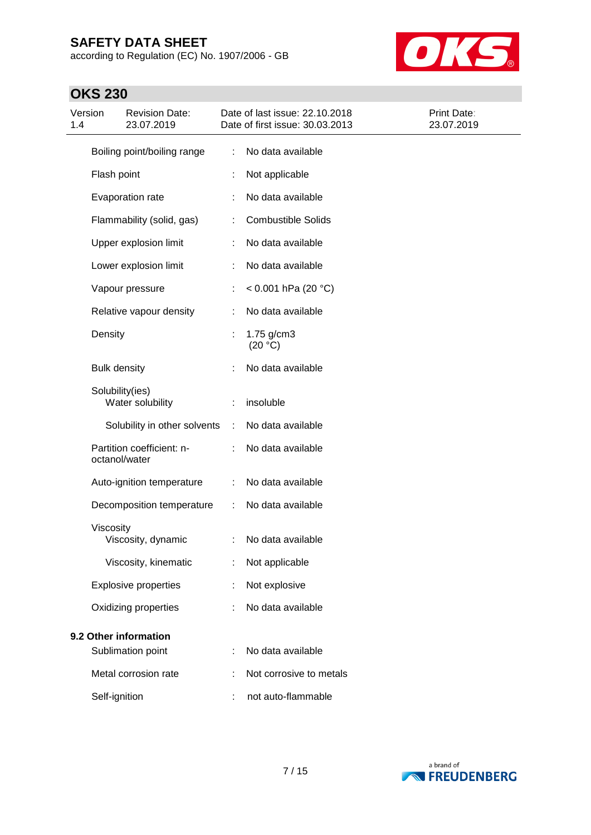according to Regulation (EC) No. 1907/2006 - GB



# **OKS 230**

| Version<br>1.4 |                     | <b>Revision Date:</b><br>23.07.2019 |   | Date of last issue: 22.10.2018<br>Date of first issue: 30.03.2013 | Print Date:<br>23.07.2019 |
|----------------|---------------------|-------------------------------------|---|-------------------------------------------------------------------|---------------------------|
|                |                     | Boiling point/boiling range         | ÷ | No data available                                                 |                           |
|                | Flash point         |                                     |   | Not applicable                                                    |                           |
|                |                     | Evaporation rate                    |   | No data available                                                 |                           |
|                |                     | Flammability (solid, gas)           |   | <b>Combustible Solids</b>                                         |                           |
|                |                     | Upper explosion limit               | t | No data available                                                 |                           |
|                |                     | Lower explosion limit               |   | No data available                                                 |                           |
|                |                     | Vapour pressure                     |   | < 0.001 hPa (20 $^{\circ}$ C)                                     |                           |
|                |                     | Relative vapour density             |   | No data available                                                 |                           |
|                | Density             |                                     | t | $1.75$ g/cm3<br>(20 °C)                                           |                           |
|                | <b>Bulk density</b> |                                     |   | No data available                                                 |                           |
|                | Solubility(ies)     | Water solubility                    |   | insoluble                                                         |                           |
|                |                     | Solubility in other solvents        | ÷ | No data available                                                 |                           |
|                | octanol/water       | Partition coefficient: n-           |   | No data available                                                 |                           |
|                |                     | Auto-ignition temperature           |   | No data available                                                 |                           |
|                |                     | Decomposition temperature           | ÷ | No data available                                                 |                           |
|                | Viscosity           | Viscosity, dynamic                  | ÷ | No data available                                                 |                           |
|                |                     | Viscosity, kinematic                |   | Not applicable                                                    |                           |
|                |                     | <b>Explosive properties</b>         |   | Not explosive                                                     |                           |
|                |                     | Oxidizing properties                |   | No data available                                                 |                           |
|                |                     | 9.2 Other information               |   |                                                                   |                           |
|                |                     | Sublimation point                   | t | No data available                                                 |                           |
|                |                     | Metal corrosion rate                |   | Not corrosive to metals                                           |                           |
|                | Self-ignition       |                                     |   | not auto-flammable                                                |                           |

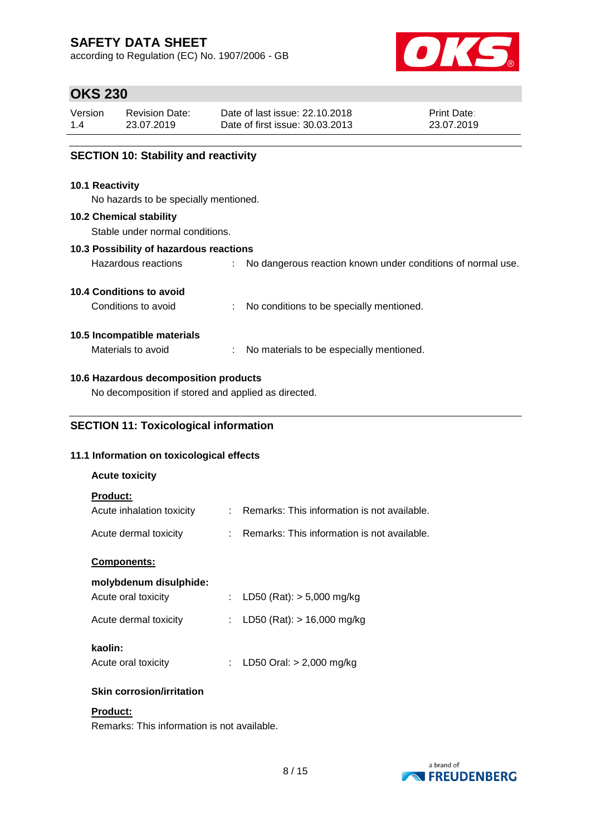according to Regulation (EC) No. 1907/2006 - GB



## **OKS 230**

| Version | Revision Date: | Date of last issue: 22.10.2018  | <b>Print Date:</b> |
|---------|----------------|---------------------------------|--------------------|
| 1.4     | 23.07.2019     | Date of first issue: 30.03.2013 | 23.07.2019         |

## **SECTION 10: Stability and reactivity**

#### **10.1 Reactivity**

No hazards to be specially mentioned.

#### **10.2 Chemical stability**

Stable under normal conditions.

### **10.3 Possibility of hazardous reactions**

| Hazardous reactions |  | No dangerous reaction known under conditions of normal use. |  |  |  |  |  |  |  |
|---------------------|--|-------------------------------------------------------------|--|--|--|--|--|--|--|
|---------------------|--|-------------------------------------------------------------|--|--|--|--|--|--|--|

### **10.4 Conditions to avoid**

Conditions to avoid : No conditions to be specially mentioned.

## **10.5 Incompatible materials**

Materials to avoid : No materials to be especially mentioned.

## **10.6 Hazardous decomposition products**

No decomposition if stored and applied as directed.

## **SECTION 11: Toxicological information**

### **11.1 Information on toxicological effects**

| <b>Acute toxicity</b>     |                                               |
|---------------------------|-----------------------------------------------|
| <b>Product:</b>           |                                               |
| Acute inhalation toxicity | : Remarks: This information is not available. |
| Acute dermal toxicity     | : Remarks: This information is not available. |
| <b>Components:</b>        |                                               |
| molybdenum disulphide:    |                                               |
| Acute oral toxicity       | : LD50 (Rat): $>$ 5,000 mg/kg                 |
| Acute dermal toxicity     | : LD50 (Rat): $> 16,000$ mg/kg                |
| kaolin:                   |                                               |
| Acute oral toxicity       | LD50 Oral: $> 2,000$ mg/kg                    |
|                           |                                               |

## **Skin corrosion/irritation**

## **Product:**

Remarks: This information is not available.

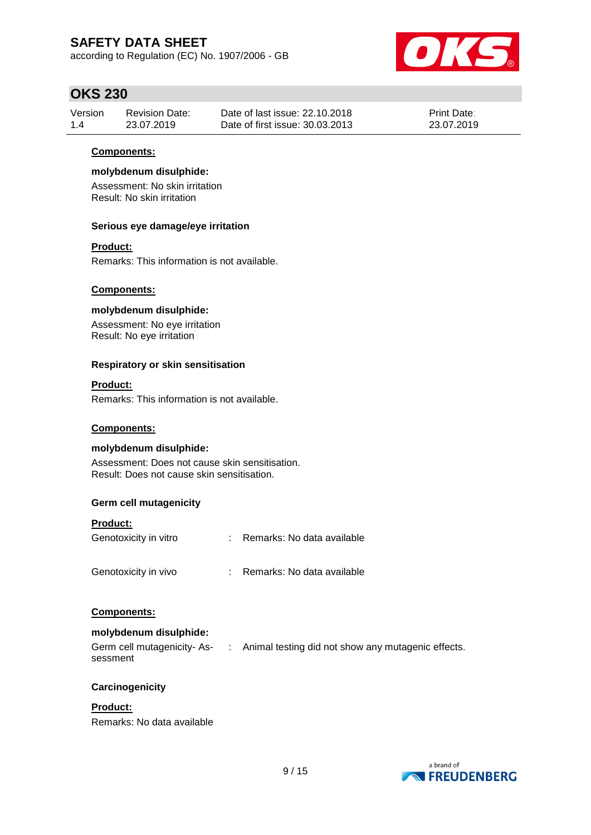according to Regulation (EC) No. 1907/2006 - GB



## **OKS 230**

| Version | <b>Revision Date:</b> | Date of last issue: 22.10.2018  | <b>Print Date:</b> |
|---------|-----------------------|---------------------------------|--------------------|
| 1.4     | 23.07.2019            | Date of first issue: 30.03.2013 | 23.07.2019         |

### **Components:**

#### **molybdenum disulphide:**

Assessment: No skin irritation Result: No skin irritation

#### **Serious eye damage/eye irritation**

### **Product:**

Remarks: This information is not available.

#### **Components:**

## **molybdenum disulphide:**

Assessment: No eye irritation Result: No eye irritation

#### **Respiratory or skin sensitisation**

#### **Product:**

Remarks: This information is not available.

### **Components:**

### **molybdenum disulphide:**

Assessment: Does not cause skin sensitisation. Result: Does not cause skin sensitisation.

### **Germ cell mutagenicity**

#### **Product:**

| Genotoxicity in vitro | Remarks: No data available |
|-----------------------|----------------------------|
| Genotoxicity in vivo  | Remarks: No data available |

### **Components:**

### **molybdenum disulphide:**

| Germ cell mutagenicity-As- | : Animal testing did not show any mutagenic effects. |
|----------------------------|------------------------------------------------------|
| sessment                   |                                                      |

### **Carcinogenicity**

### **Product:**

Remarks: No data available

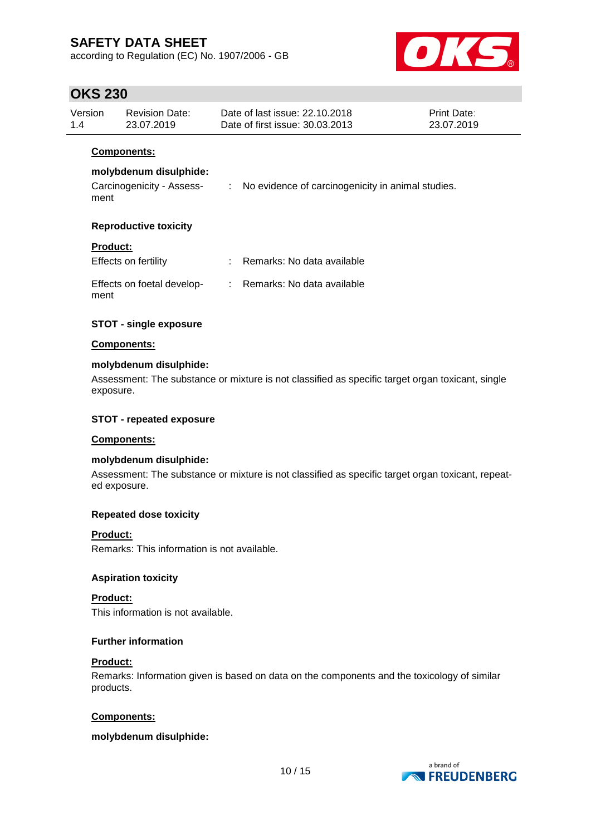according to Regulation (EC) No. 1907/2006 - GB



## **OKS 230**

| Version<br>1.4  | <b>Revision Date:</b><br>23.07.2019                                       | Date of last issue: 22.10.2018<br><b>Print Date:</b><br>Date of first issue: 30.03.2013<br>23.07.2019 |                                                     |  |
|-----------------|---------------------------------------------------------------------------|-------------------------------------------------------------------------------------------------------|-----------------------------------------------------|--|
| ment            | <b>Components:</b><br>molybdenum disulphide:<br>Carcinogenicity - Assess- |                                                                                                       | : No evidence of carcinogenicity in animal studies. |  |
|                 | <b>Reproductive toxicity</b>                                              |                                                                                                       |                                                     |  |
| <b>Product:</b> | Effects on fertility                                                      |                                                                                                       | : Remarks: No data available                        |  |
| ment            | Effects on foetal develop-                                                |                                                                                                       | : Remarks: No data available                        |  |
|                 | <b>STOT - single exposure</b>                                             |                                                                                                       |                                                     |  |

## **Components:**

## **molybdenum disulphide:**

Assessment: The substance or mixture is not classified as specific target organ toxicant, single exposure.

### **STOT - repeated exposure**

#### **Components:**

#### **molybdenum disulphide:**

Assessment: The substance or mixture is not classified as specific target organ toxicant, repeated exposure.

#### **Repeated dose toxicity**

#### **Product:**

Remarks: This information is not available.

#### **Aspiration toxicity**

**Product:** This information is not available.

#### **Further information**

#### **Product:**

Remarks: Information given is based on data on the components and the toxicology of similar products.

#### **Components:**

#### **molybdenum disulphide:**

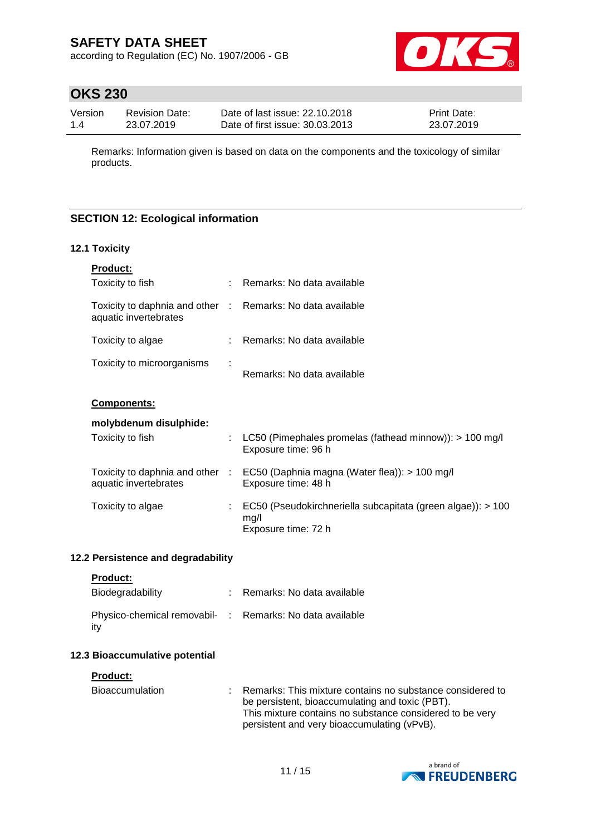according to Regulation (EC) No. 1907/2006 - GB



# **OKS 230**

| Version | <b>Revision Date:</b> | Date of last issue: 22.10.2018  | <b>Print Date:</b> |
|---------|-----------------------|---------------------------------|--------------------|
| 1.4     | 23.07.2019            | Date of first issue: 30.03.2013 | 23.07.2019         |

Remarks: Information given is based on data on the components and the toxicology of similar products.

## **SECTION 12: Ecological information**

### **12.1 Toxicity**

| <b>Product:</b>                                          |   |                                                                                            |
|----------------------------------------------------------|---|--------------------------------------------------------------------------------------------|
| Toxicity to fish                                         |   | Remarks: No data available                                                                 |
| Toxicity to daphnia and other :<br>aquatic invertebrates |   | Remarks: No data available                                                                 |
| Toxicity to algae                                        |   | Remarks: No data available                                                                 |
| Toxicity to microorganisms                               |   | Remarks: No data available                                                                 |
| Components:                                              |   |                                                                                            |
| molybdenum disulphide:                                   |   |                                                                                            |
| Toxicity to fish                                         | ÷ | LC50 (Pimephales promelas (fathead minnow)): $> 100$ mg/l<br>Exposure time: 96 h           |
| Toxicity to daphnia and other :<br>aquatic invertebrates |   | EC50 (Daphnia magna (Water flea)): > 100 mg/l<br>Exposure time: 48 h                       |
| Toxicity to algae                                        |   | EC50 (Pseudokirchneriella subcapitata (green algae)): > 100<br>mq/l<br>Exposure time: 72 h |

### **12.2 Persistence and degradability**

### **Product:**

| Biodegradability                                                | : Remarks: No data available |
|-----------------------------------------------------------------|------------------------------|
| Physico-chemical removabil- : Remarks: No data available<br>ity |                              |

### **12.3 Bioaccumulative potential**

#### **Product:**

| Bioaccumulation | : Remarks: This mixture contains no substance considered to |
|-----------------|-------------------------------------------------------------|
|                 | be persistent, bioaccumulating and toxic (PBT).             |
|                 | This mixture contains no substance considered to be very    |
|                 | persistent and very bioaccumulating (vPvB).                 |

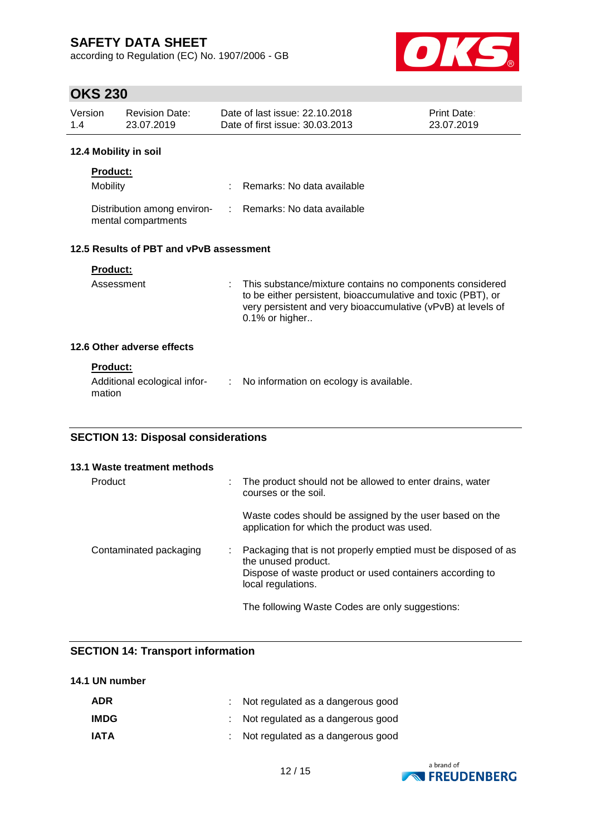according to Regulation (EC) No. 1907/2006 - GB



# **OKS 230**

| Version | <b>Revision Date:</b> | Date of last issue: 22.10.2018  | <b>Print Date:</b> |
|---------|-----------------------|---------------------------------|--------------------|
| 1.4     | 23.07.2019            | Date of first issue: 30.03.2013 | 23.07.2019         |
|         |                       |                                 |                    |

## **12.4 Mobility in soil**

| <b>Product:</b>                                    |                              |
|----------------------------------------------------|------------------------------|
| <b>Mobility</b>                                    | : Remarks: No data available |
| Distribution among environ-<br>mental compartments | : Remarks: No data available |

## **12.5 Results of PBT and vPvB assessment**

| Assessment                 | : This substance/mixture contains no components considered<br>to be either persistent, bioaccumulative and toxic (PBT), or<br>very persistent and very bioaccumulative (vPvB) at levels of<br>$0.1\%$ or higher |
|----------------------------|-----------------------------------------------------------------------------------------------------------------------------------------------------------------------------------------------------------------|
| 12.6 Other adverse effects |                                                                                                                                                                                                                 |

## **Product:**

| Additional ecological infor- | : No information on ecology is available. |
|------------------------------|-------------------------------------------|
| mation                       |                                           |

## **SECTION 13: Disposal considerations**

| 13.1 Waste treatment methods |   |                                                                                                                                                                        |
|------------------------------|---|------------------------------------------------------------------------------------------------------------------------------------------------------------------------|
| Product                      |   | The product should not be allowed to enter drains, water<br>courses or the soil.                                                                                       |
|                              |   | Waste codes should be assigned by the user based on the<br>application for which the product was used.                                                                 |
| Contaminated packaging       | ÷ | Packaging that is not properly emptied must be disposed of as<br>the unused product.<br>Dispose of waste product or used containers according to<br>local regulations. |
|                              |   | The following Waste Codes are only suggestions:                                                                                                                        |

## **SECTION 14: Transport information**

## **14.1 UN number**

| <b>ADR</b>  | : Not regulated as a dangerous good |
|-------------|-------------------------------------|
| <b>IMDG</b> | : Not regulated as a dangerous good |
| <b>IATA</b> | : Not regulated as a dangerous good |

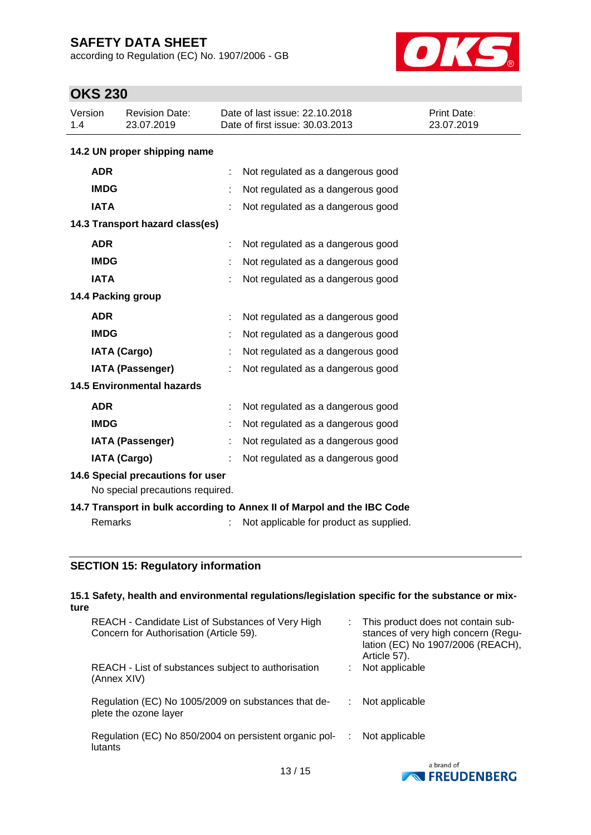according to Regulation (EC) No. 1907/2006 - GB



# **OKS 230**

| Version<br>1.4 | <b>Revision Date:</b><br>23.07.2019 | Date of last issue: 22.10.2018<br>Date of first issue: 30.03.2013 | Print Date:<br>23.07.2019 |  |  |  |
|----------------|-------------------------------------|-------------------------------------------------------------------|---------------------------|--|--|--|
|                | 14.2 UN proper shipping name        |                                                                   |                           |  |  |  |
| <b>ADR</b>     |                                     | Not regulated as a dangerous good                                 |                           |  |  |  |
| <b>IMDG</b>    |                                     | Not regulated as a dangerous good                                 |                           |  |  |  |
| <b>IATA</b>    |                                     | Not regulated as a dangerous good                                 |                           |  |  |  |
|                | 14.3 Transport hazard class(es)     |                                                                   |                           |  |  |  |
| <b>ADR</b>     |                                     | Not regulated as a dangerous good                                 |                           |  |  |  |
| <b>IMDG</b>    |                                     | Not regulated as a dangerous good                                 |                           |  |  |  |
| <b>IATA</b>    |                                     | Not regulated as a dangerous good                                 |                           |  |  |  |
|                | 14.4 Packing group                  |                                                                   |                           |  |  |  |
| <b>ADR</b>     |                                     | Not regulated as a dangerous good                                 |                           |  |  |  |
| <b>IMDG</b>    |                                     | Not regulated as a dangerous good                                 |                           |  |  |  |
|                | <b>IATA (Cargo)</b>                 | Not regulated as a dangerous good                                 |                           |  |  |  |
|                | IATA (Passenger)                    | Not regulated as a dangerous good                                 |                           |  |  |  |
|                | <b>14.5 Environmental hazards</b>   |                                                                   |                           |  |  |  |
| <b>ADR</b>     |                                     | Not regulated as a dangerous good                                 |                           |  |  |  |
| <b>IMDG</b>    |                                     | Not regulated as a dangerous good                                 |                           |  |  |  |
|                | <b>IATA (Passenger)</b>             | Not regulated as a dangerous good                                 |                           |  |  |  |
|                | <b>IATA (Cargo)</b>                 | Not regulated as a dangerous good                                 |                           |  |  |  |
|                | 14.6 Special precautions for user   |                                                                   |                           |  |  |  |
|                | No special precautions required.    |                                                                   |                           |  |  |  |

## **14.7 Transport in bulk according to Annex II of Marpol and the IBC Code**

Remarks : Not applicable for product as supplied.

## **SECTION 15: Regulatory information**

| 15.1 Safety, health and environmental regulations/legislation specific for the substance or mix-<br>ture |   |                                                                                                                                |
|----------------------------------------------------------------------------------------------------------|---|--------------------------------------------------------------------------------------------------------------------------------|
| REACH - Candidate List of Substances of Very High<br>Concern for Authorisation (Article 59).             |   | This product does not contain sub-<br>stances of very high concern (Regu-<br>lation (EC) No 1907/2006 (REACH),<br>Article 57). |
| REACH - List of substances subject to authorisation<br>(Annex XIV)                                       |   | Not applicable                                                                                                                 |
| Regulation (EC) No 1005/2009 on substances that de-<br>plete the ozone layer                             |   | Not applicable                                                                                                                 |
| Regulation (EC) No 850/2004 on persistent organic pol-<br>lutants                                        | ÷ | Not applicable                                                                                                                 |
|                                                                                                          |   | a hrand of                                                                                                                     |

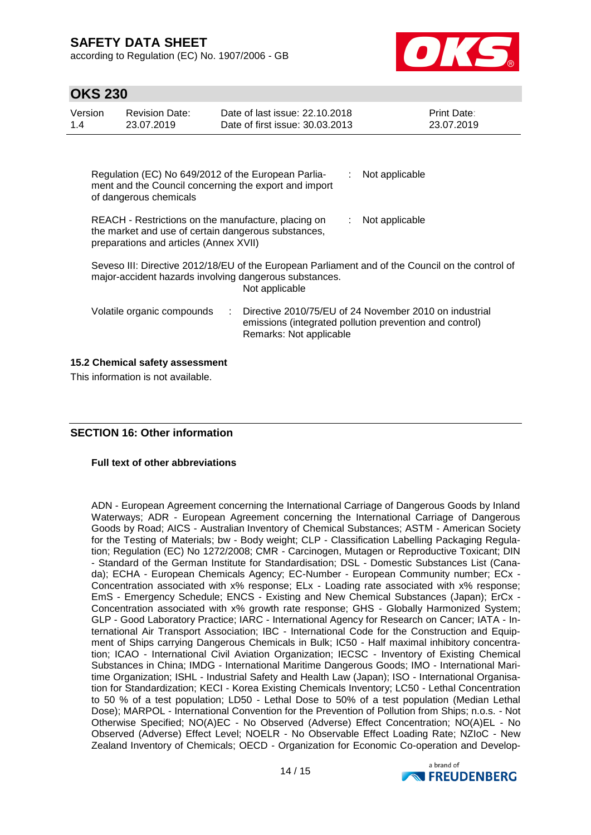according to Regulation (EC) No. 1907/2006 - GB



| <b>OKS 230</b> |  |
|----------------|--|
|----------------|--|

| UI NU LUV                                                             |                                                                                                                                                                              |  |                                                                   |                                                                                                                   |  |  |
|-----------------------------------------------------------------------|------------------------------------------------------------------------------------------------------------------------------------------------------------------------------|--|-------------------------------------------------------------------|-------------------------------------------------------------------------------------------------------------------|--|--|
| Version<br>1.4                                                        | <b>Revision Date:</b><br>23.07.2019                                                                                                                                          |  | Date of last issue: 22.10.2018<br>Date of first issue: 30,03,2013 | Print Date:<br>23.07.2019                                                                                         |  |  |
|                                                                       |                                                                                                                                                                              |  |                                                                   |                                                                                                                   |  |  |
|                                                                       | Regulation (EC) No 649/2012 of the European Parlia-<br>Not applicable<br>ment and the Council concerning the export and import<br>of dangerous chemicals                     |  |                                                                   |                                                                                                                   |  |  |
|                                                                       | REACH - Restrictions on the manufacture, placing on<br>Not applicable<br>the market and use of certain dangerous substances,<br>preparations and articles (Annex XVII)       |  |                                                                   |                                                                                                                   |  |  |
|                                                                       | Seveso III: Directive 2012/18/EU of the European Parliament and of the Council on the control of<br>major-accident hazards involving dangerous substances.<br>Not applicable |  |                                                                   |                                                                                                                   |  |  |
|                                                                       | Volatile organic compounds                                                                                                                                                   |  | Remarks: Not applicable                                           | Directive 2010/75/EU of 24 November 2010 on industrial<br>emissions (integrated pollution prevention and control) |  |  |
| 15.2 Chemical safety assessment<br>This information is not available. |                                                                                                                                                                              |  |                                                                   |                                                                                                                   |  |  |

## **SECTION 16: Other information**

#### **Full text of other abbreviations**

ADN - European Agreement concerning the International Carriage of Dangerous Goods by Inland Waterways; ADR - European Agreement concerning the International Carriage of Dangerous Goods by Road; AICS - Australian Inventory of Chemical Substances; ASTM - American Society for the Testing of Materials; bw - Body weight; CLP - Classification Labelling Packaging Regulation; Regulation (EC) No 1272/2008; CMR - Carcinogen, Mutagen or Reproductive Toxicant; DIN - Standard of the German Institute for Standardisation; DSL - Domestic Substances List (Canada); ECHA - European Chemicals Agency; EC-Number - European Community number; ECx - Concentration associated with x% response; ELx - Loading rate associated with x% response; EmS - Emergency Schedule; ENCS - Existing and New Chemical Substances (Japan); ErCx - Concentration associated with x% growth rate response; GHS - Globally Harmonized System; GLP - Good Laboratory Practice; IARC - International Agency for Research on Cancer; IATA - International Air Transport Association; IBC - International Code for the Construction and Equipment of Ships carrying Dangerous Chemicals in Bulk; IC50 - Half maximal inhibitory concentration; ICAO - International Civil Aviation Organization; IECSC - Inventory of Existing Chemical Substances in China; IMDG - International Maritime Dangerous Goods; IMO - International Maritime Organization; ISHL - Industrial Safety and Health Law (Japan); ISO - International Organisation for Standardization; KECI - Korea Existing Chemicals Inventory; LC50 - Lethal Concentration to 50 % of a test population; LD50 - Lethal Dose to 50% of a test population (Median Lethal Dose); MARPOL - International Convention for the Prevention of Pollution from Ships; n.o.s. - Not Otherwise Specified; NO(A)EC - No Observed (Adverse) Effect Concentration; NO(A)EL - No Observed (Adverse) Effect Level; NOELR - No Observable Effect Loading Rate; NZIoC - New Zealand Inventory of Chemicals; OECD - Organization for Economic Co-operation and Develop-